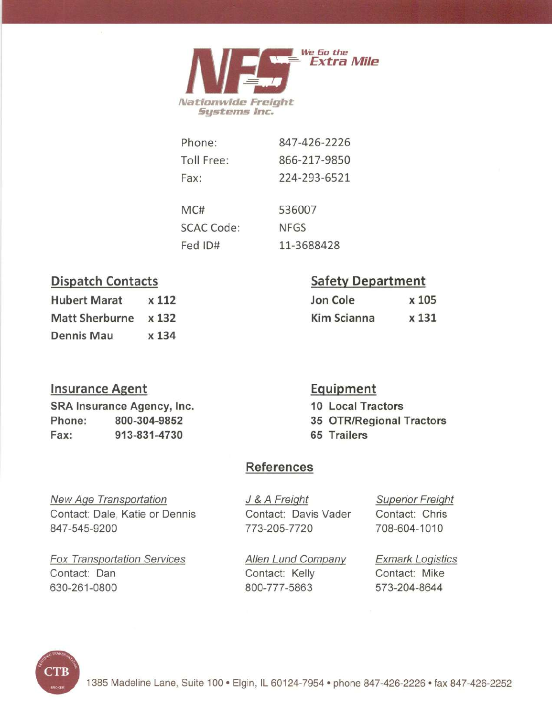

| Phone:            | 847-426-2226 |
|-------------------|--------------|
| Toll Free:        | 866-217-9850 |
| Fax:              | 224-293-6521 |
| MC#               | 536007       |
| <b>SCAC Code:</b> | <b>NFGS</b>  |
| Fed ID#           | 11-3688428   |

## **Dispatch Contacts**

| <b>Hubert Marat</b>  | x 112 |
|----------------------|-------|
| Matt Sherburne x 132 |       |
| <b>Dennis Mau</b>    | x 134 |

### **Insurance Agent**

SRA Insurance Agency, Inc. Phone: 800-304-9852 Fax: 913-831-4730

## **Safety Department**

| Jon Cole    | x 105 |
|-------------|-------|
| Kim Scianna | x 131 |

### Equipment 10 Local Tractors

35 OTR/Regional Tractors 65 Trailers

## **References**

**New Age Transportation** Contact: Dale, Katie or Dennis 847-545-9200

**Fox Transportation Services** Contact: Dan 630-261-0800

J & A Freight Contact: Davis Vader 773-205-7720

**Superior Freight** Contact: Chris 708-604-1010

Allen Lund Company Contact: Kelly 800-777-5863

**Exmark Logistics** Contact: Mike 573-204-8644

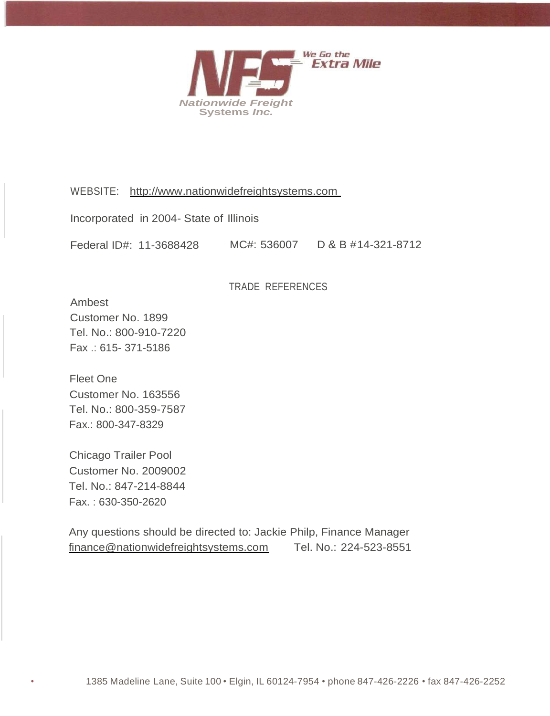

WEBSITE: [http://www.nationwidefreightsystems.com](http://www.nationwidefreightsystems.com/)

Incorporated in 2004- State of Illinois

Federal ID#: 11-3688428 MC#: 536007 D & B # 14-321-8712

TRADE REFERENCES

Ambest Customer No. 1899 Tel. No.: 800-910-7220 Fax .: 615- 371-5186

Fleet One Customer No. 163556 Tel. No.: 800-359-7587 Fax.: 800-347-8329

Chicago Trailer Pool Customer No. 2009002 Tel. No.: 847-214-8844 Fax. : 630-350-2620

Any questions should be directed to: Jackie Philp, Finance Manager [finance@nationwidefreightsystems.com](mailto:finance@nationwidefreightsystems.com) Tel. No.: 224-523-8551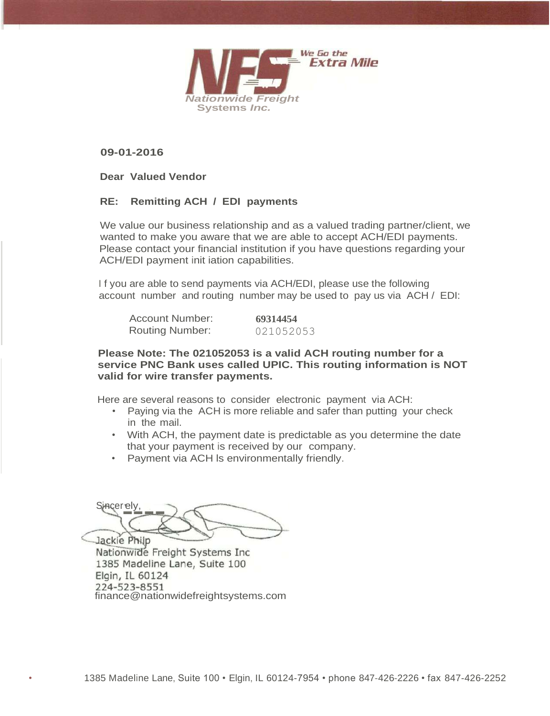

**09-01-2016**

**Dear Valued Vendor**

### **RE: Remitting ACH / EDI payments**

We value our business relationship and as a valued trading partner/client, we wanted to make you aware that we are able to accept ACH/EDI payments. Please contact your financial institution if you have questions regarding your ACH/EDI payment init iation capabilities.

I f you are able to send payments via ACH/EDI, please use the following account number and routing number may be used to pay us via ACH / EDI:

| Account Number:        | 69314454  |
|------------------------|-----------|
| <b>Routing Number:</b> | 021052053 |

**Please Note: The 021052053 is a valid ACH routing number for a service PNC Bank uses called UPIC. This routing information is NOT valid for wire transfer payments.**

Here are several reasons to consider electronic payment via ACH:

- Paying via the ACH is more reliable and safer than putting your check in the mail.
- With ACH, the payment date is predictable as you determine the date that your payment is received by our company.
- Payment via ACH ls environmentally friendly.

Sincerely, --, Jackie Philp

Nationwide Freight Systems Inc. 1385 Madeline Lane, Suite 100 Elgin, IL 60124 224-523-8551<br>[finance@nationwidefreightsystems.com](mailto:finance@nationwidefreightsystems.com)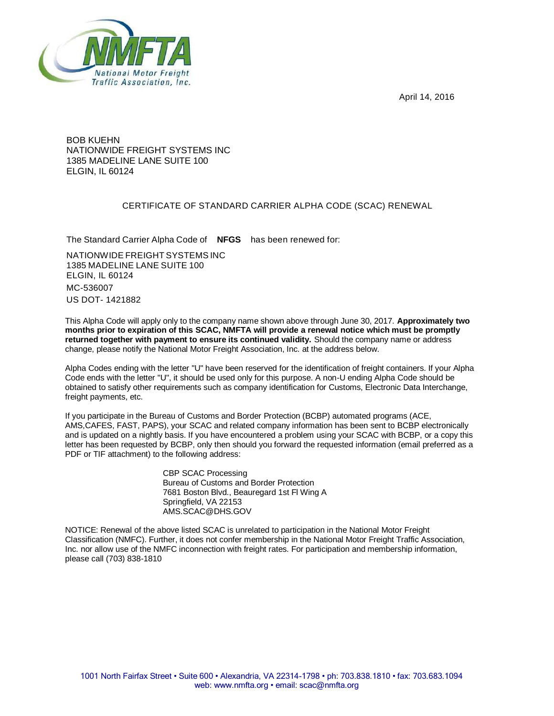April 14, 2016



BOB KUEHN NATIONWIDE FREIGHT SYSTEMS INC 1385 MADELINE LANE SUITE 100 ELGIN, IL 60124

### CERTIFICATE OF STANDARD CARRIER ALPHA CODE (SCAC) RENEWAL

The Standard Carrier Alpha Code of **NFGS** has been renewed for:

NATIONWIDE FREIGHT SYSTEMS INC 1385 MADELINE LANE SUITE 100 ELGIN, IL 60124 MC-536007 US DOT- 1421882

This Alpha Code will apply only to the company name shown above through June 30, 2017. **Approximately two months prior to expiration of this SCAC, NMFTA will provide a renewal notice which must be promptly returned together with payment to ensure its continued validity.** Should the company name or address change, please notify the National Motor Freight Association, Inc. at the address below.

Alpha Codes ending with the letter "U" have been reserved for the identification of freight containers. If your Alpha Code ends with the letter "U", it should be used only for this purpose. A non-U ending Alpha Code should be obtained to satisfy other requirements such as company identification for Customs, Electronic Data Interchange, freight payments, etc.

If you participate in the Bureau of Customs and Border Protection (BCBP) automated programs (ACE, AMS,CAFES, FAST, PAPS), your SCAC and related company information has been sent to BCBP electronically and is updated on a nightly basis. If you have encountered a problem using your SCAC with BCBP, or a copy this letter has been requested by BCBP, only then should you forward the requested information (email preferred as a PDF or TIF attachment) to the following address:

> CBP SCAC Processing Bureau of Customs and Border Protection 7681 Boston Blvd., Beauregard 1st Fl Wing A Springfield, VA 22153 [AMS.SCAC@DHS.GOV](mailto:AMS.SCAC@DHS.GOV)

NOTICE: Renewal of the above listed SCAC is unrelated to participation in the National Motor Freight Classification (NMFC). Further, it does not confer membership in the National Motor Freight Traffic Association, Inc. nor allow use of the NMFC inconnection with freight rates. For participation and membership information, please call (703) 838-1810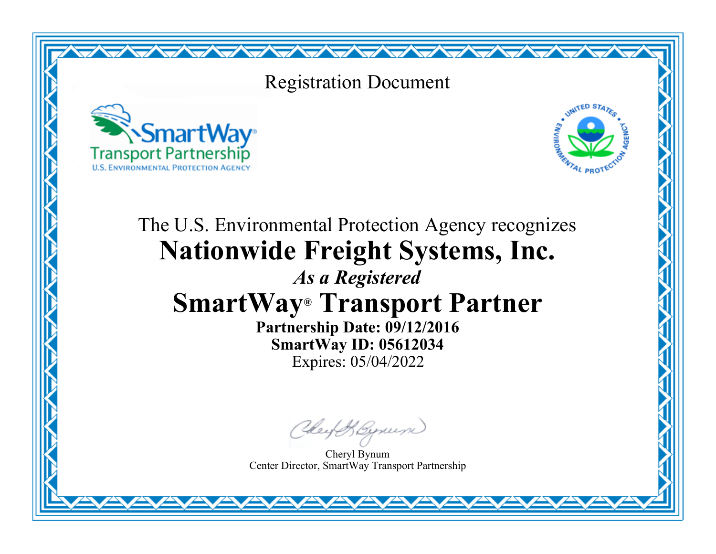## Registration Document

<del>╱╲╦╱╲╦╱╲╦╱╲╦╱╲╦╱╲╦╱╲╦╱╲╦╱╲╦╱╲╦╱╲╤╱╲╤╱╲╤╱╲╤╱╲╤╱╲╤╱╲</del>╤╱╲╤╱╲





# The U.S. Environmental Protection Agency recognizes **Nationwide Freight Systems, Inc.**

# *As a Registered* **SmartWay® Transport Partner**

**Partnership Date: 09/12/2016 SmartWay ID: 05612034** Expires: 05/04/2022

Chey & Byrum

Cheryl Bynum Center Director, SmartWay Transport Partnership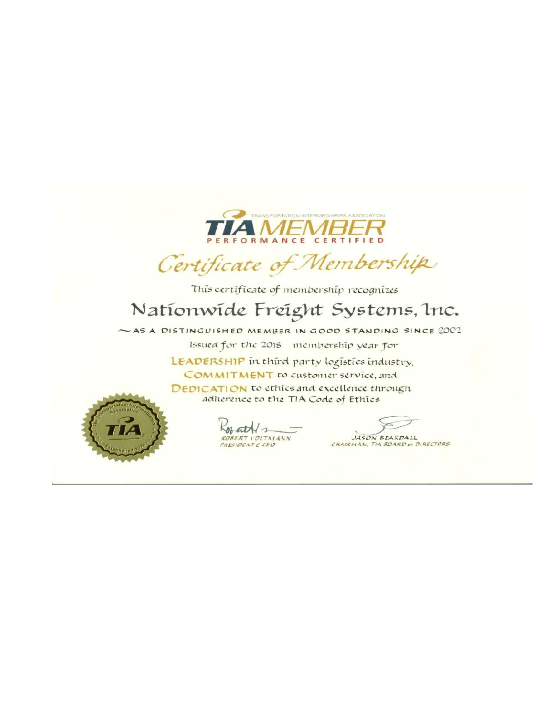

Certificate of Membership

This certificate of membership recognizes

## Nationwide Freight Systems, Inc.

~AS A DISTINGUISHED MEMBER IN GOOD STANDING SINCE 2002 Issued for the 2018 membership year for

> LEADERSHIP in third party logistics industry. COMMITMENT to customer service, and DEDICATION to ethics and excellence through adherence to the TIA Code of Ethics



 $K_{0}$  at  $N_{2}$ **ROBERT VOLTMANN** 

JASON BEASDALL CHAIRMAN, TIA BOARD OF DIRECTORS